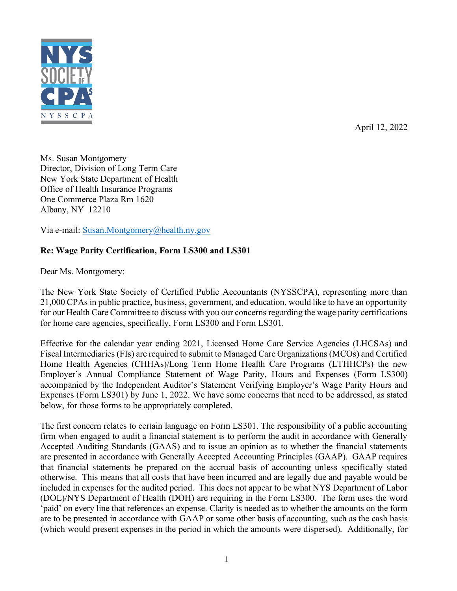

April 12, 2022

Ms. Susan Montgomery Director, Division of Long Term Care New York State Department of Health Office of Health Insurance Programs One Commerce Plaza Rm 1620 Albany, NY 12210

Via e-mail: [Susan.Montgomery@health.ny.gov](mailto:Susan.Montgomery@health.ny.gov)

## **Re: Wage Parity Certification, Form LS300 and LS301**

Dear Ms. Montgomery:

The New York State Society of Certified Public Accountants (NYSSCPA), representing more than 21,000 CPAs in public practice, business, government, and education, would like to have an opportunity for our Health Care Committee to discuss with you our concerns regarding the wage parity certifications for home care agencies, specifically, Form LS300 and Form LS301.

Effective for the calendar year ending 2021, Licensed Home Care Service Agencies (LHCSAs) and Fiscal Intermediaries (FIs) are required to submit to Managed Care Organizations (MCOs) and Certified Home Health Agencies (CHHAs)/Long Term Home Health Care Programs (LTHHCPs) the new Employer's Annual Compliance Statement of Wage Parity, Hours and Expenses (Form LS300) accompanied by the Independent Auditor's Statement Verifying Employer's Wage Parity Hours and Expenses (Form LS301) by June 1, 2022. We have some concerns that need to be addressed, as stated below, for those forms to be appropriately completed.

The first concern relates to certain language on Form LS301. The responsibility of a public accounting firm when engaged to audit a financial statement is to perform the audit in accordance with Generally Accepted Auditing Standards (GAAS) and to issue an opinion as to whether the financial statements are presented in accordance with Generally Accepted Accounting Principles (GAAP). GAAP requires that financial statements be prepared on the accrual basis of accounting unless specifically stated otherwise. This means that all costs that have been incurred and are legally due and payable would be included in expenses for the audited period. This does not appear to be what NYS Department of Labor (DOL)/NYS Department of Health (DOH) are requiring in the Form LS300. The form uses the word 'paid' on every line that references an expense. Clarity is needed as to whether the amounts on the form are to be presented in accordance with GAAP or some other basis of accounting, such as the cash basis (which would present expenses in the period in which the amounts were dispersed). Additionally, for